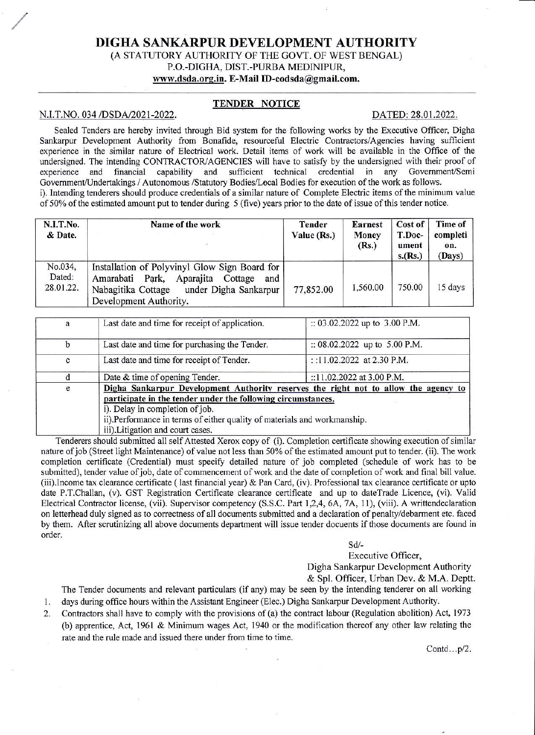# DIGHA SANKARPUR DEVELOPMENT AUTHORITY

## (A STATUTORY AUTHORITY OF THE GOVT. OF WEST BENGAL) P.O.-DIGHA, DIST.-PURBA MEDINIPUR, www.dsda.org.in. E-Mail ID-eodsda@gmail.com.

## **TENDER NOTICE**

#### N.I.T.NO. 034 /DSDA/2021-2022.

#### DATED: 28.01.2022.

Sealed Tenders are hereby invited through Bid system for the following works by the Executive Officer, Digha Sankarpur Development Authority from Bonafide, resourceful Electric Contractors/Agencies having sufficient experience in the similar nature of Electrical work. Detail items of work will be available in the Office of the undersigned. The intending CONTRACTOR/AGENCIES will have to satisfy by the undersigned with their proof of sufficient technical credential in any Government/Semi experience and financial capability and Government/Undertakings / Autonomous /Statutory Bodies/Local Bodies for execution of the work as follows. i). Intending tenderers should produce credentials of a similar nature of Complete Electric items of the minimum value of 50% of the estimated amount put to tender during 5 (five) years prior to the date of issue of this tender notice.

| N.I.T.No.<br>& Date.           | Name of the work<br>- 3                                                                                                                                                     | Tender<br>Value (Rs.) | <b>Earnest</b><br>Money<br>(Rs.) | Cost of<br>T.Doc-<br>ument<br>s.(Rs.) | Time of<br>completi<br>on.<br>(Days) |
|--------------------------------|-----------------------------------------------------------------------------------------------------------------------------------------------------------------------------|-----------------------|----------------------------------|---------------------------------------|--------------------------------------|
| No.034,<br>Dated:<br>28.01.22. | Installation of Polyvinyl Glow Sign Board for<br>Aparajita<br>Park,<br>Amarabati<br>Cottage<br>and<br>under Digha Sankarpur<br>Nabagitika Cottage<br>Development Authority. | 77,852.00             | 1,560.00                         | 750.00                                | 15 days                              |

| $\mathbf{a}$ | Last date and time for receipt of application.                                      | :: 03.02.2022 up to 3.00 P.M.   |  |  |  |
|--------------|-------------------------------------------------------------------------------------|---------------------------------|--|--|--|
|              |                                                                                     |                                 |  |  |  |
| $\mathbf b$  | Last date and time for purchasing the Tender.                                       | :: $08.02.2022$ up to 5.00 P.M. |  |  |  |
| c            | Last date and time for receipt of Tender.                                           | ::11.02.2022 at 2.30 P.M.       |  |  |  |
|              | Date & time of opening Tender.                                                      | ::11.02.2022 at 3.00 P.M.       |  |  |  |
| e            | Digha Sankarpur Development Authority reserves the right not to allow the agency to |                                 |  |  |  |
|              | participate in the tender under the following circumstances.                        |                                 |  |  |  |
|              | i). Delay in completion of job.                                                     |                                 |  |  |  |
|              | ii).Performance in terms of either quality of materials and workmanship.            |                                 |  |  |  |
|              | iii).Litigation and court cases.                                                    |                                 |  |  |  |

Tenderers should submitted all self Attested Xerox copy of (i). Completion certificate showing execution of similar nature of job (Street light Maintenance) of value not less than 50% of the estimated amount put to tender. (ii). The work completion certificate (Credential) must specify detailed nature of job completed (schedule of work has to be submitted), tender value of job, date of commencement of work and the date of completion of work and final bill value. (iii).Income tax clearance certificate (last financial year) & Pan Card, (iv). Professional tax clearance certificate or upto date P.T.Challan, (v). GST Registration Certificate clearance certificate and up to dateTrade Licence, (vi). Valid Electrical Contractor license, (vii). Supervisor competency (S.S.C. Part 1,2,4, 6A, 7A, 11), (viii). A writtendeclaration on letterhead duly signed as to correctness of all documents submitted and a declaration of penalty/debarment etc. faced by them. After scrutinizing all above documents department will issue tender docuents if those documents are found in order.

 $Sd$ -

Executive Officer,

Digha Sankarpur Development Authority

& Spl. Officer, Urban Dev. & M.A. Deptt.

The Tender documents and relevant particulars (if any) may be seen by the intending tenderer on all working days during office hours within the Assistant Engineer (Elec.) Digha Sankarpur Development Authority.

1. Contractors shall have to comply with the provisions of (a) the contract labour (Regulation abolition) Act, 1973 2. (b) apprentice, Act, 1961 & Minimum wages Act, 1940 or the modification thereof any other law relating the

rate and the rule made and issued there under from time to time.

Contd...p/2.